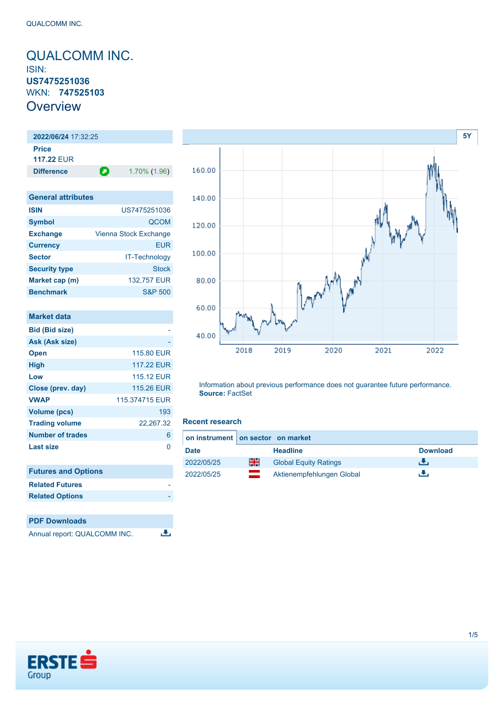## <span id="page-0-0"></span>QUALCOMM INC. ISIN: **US7475251036** WKN: **747525103 Overview**

**2022/06/24** 17:32:25 **Price 117.22** EUR **Difference 1.70% (1.96)** 

| <b>General attributes</b> |                       |
|---------------------------|-----------------------|
| <b>ISIN</b>               | US7475251036          |
| <b>Symbol</b>             | <b>QCOM</b>           |
| <b>Exchange</b>           | Vienna Stock Exchange |
| <b>Currency</b>           | <b>EUR</b>            |
| <b>Sector</b>             | IT-Technology         |
| <b>Security type</b>      | <b>Stock</b>          |
| Market cap (m)            | 132,757 EUR           |
| <b>Benchmark</b>          | <b>S&amp;P 500</b>    |

| <b>Market data</b>         |                |
|----------------------------|----------------|
| <b>Bid (Bid size)</b>      |                |
| Ask (Ask size)             |                |
| <b>Open</b>                | 115,80 EUR     |
| <b>High</b>                | 117.22 EUR     |
| Low                        | 115.12 EUR     |
| Close (prev. day)          | 115.26 EUR     |
| <b>VWAP</b>                | 115.374715 EUR |
| <b>Volume (pcs)</b>        | 193            |
| <b>Trading volume</b>      | 22,267.32      |
| <b>Number of trades</b>    | 6              |
| <b>Last size</b>           | O              |
| <b>Futures and Options</b> |                |
| <b>Related Futures</b>     |                |
| <b>Related Options</b>     |                |
|                            |                |
| <b>PDF Downloads</b>       |                |

Annual report: QUALCOMM INC.

|        |                                      | <b>5Y</b> |
|--------|--------------------------------------|-----------|
| 160.00 |                                      |           |
| 140.00 |                                      |           |
| 120.00 |                                      |           |
| 100.00 |                                      |           |
| 80.00  |                                      |           |
| 60.00  |                                      |           |
| 40.00  |                                      |           |
|        | 2018<br>2019<br>2020<br>2021<br>2022 |           |

Information about previous performance does not guarantee future performance. **Source:** FactSet

#### **Recent research**

违

|             | on instrument on sector on market |                              |                 |
|-------------|-----------------------------------|------------------------------|-----------------|
| <b>Date</b> |                                   | <b>Headline</b>              | <b>Download</b> |
| 2022/05/25  | 을중                                | <b>Global Equity Ratings</b> | . Ф.            |
| 2022/05/25  | <u>a ma</u><br><b>Commercial</b>  | Aktienempfehlungen Global    | ٠.              |

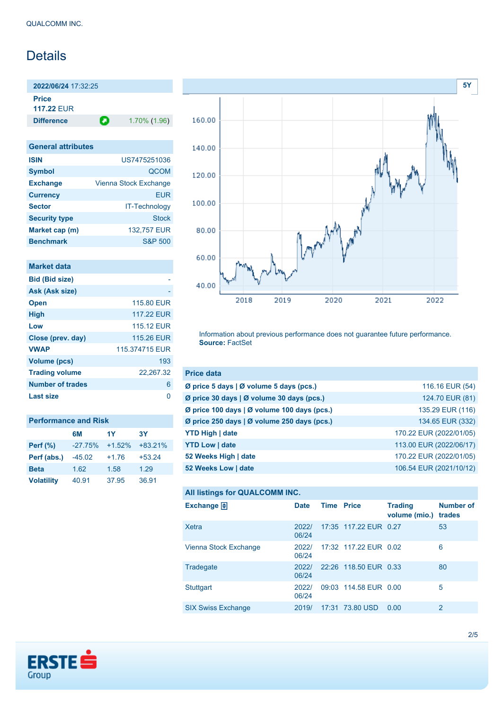# Details

**2022/06/24** 17:32:25

**Price 117.22** EUR

**Difference 1.70% (1.96)** 

| <b>General attributes</b> |                       |
|---------------------------|-----------------------|
| <b>ISIN</b>               | US7475251036          |
| <b>Symbol</b>             | <b>QCOM</b>           |
| <b>Exchange</b>           | Vienna Stock Exchange |
| <b>Currency</b>           | FUR                   |
| <b>Sector</b>             | <b>IT-Technology</b>  |
| <b>Security type</b>      | Stock                 |
| Market cap (m)            | 132,757 EUR           |
| <b>Benchmark</b>          | S&P 500               |

|  | <b>Market data</b> |  |
|--|--------------------|--|
|  |                    |  |
|  |                    |  |

| <b>Bid (Bid size)</b>   |                |
|-------------------------|----------------|
| Ask (Ask size)          |                |
| <b>Open</b>             | 115,80 EUR     |
| <b>High</b>             | 117.22 FUR     |
| Low                     | 115.12 FUR     |
| Close (prev. day)       | 115.26 EUR     |
| <b>VWAP</b>             | 115.374715 FUR |
| <b>Volume (pcs)</b>     | 193            |
| <b>Trading volume</b>   | 22,267.32      |
| <b>Number of trades</b> | 6              |
| Last size               | n              |
|                         |                |

| <b>Performance and Risk</b> |           |          |           |  |
|-----------------------------|-----------|----------|-----------|--|
|                             | 6M        | 1Y       | 3Υ        |  |
| <b>Perf</b> (%)             | $-27.75%$ | $+1.52%$ | $+83.21%$ |  |
| Perf (abs.)                 | $-45.02$  | $+1.76$  | $+53.24$  |  |
| <b>Beta</b>                 | 1.62      | 1.58     | 1.29      |  |
| <b>Volatility</b>           | 40.91     | 37.95    | 36.91     |  |



Information about previous performance does not guarantee future performance. **Source:** FactSet

| <b>Price data</b>                                 |                         |
|---------------------------------------------------|-------------------------|
| Ø price 5 days   Ø volume 5 days (pcs.)           | 116.16 EUR (54)         |
| Ø price 30 days   Ø volume 30 days (pcs.)         | 124.70 EUR (81)         |
| Ø price 100 days   Ø volume 100 days (pcs.)       | 135.29 EUR (116)        |
| Ø price 250 days $\vert$ Ø volume 250 days (pcs.) | 134.65 EUR (332)        |
| <b>YTD High   date</b>                            | 170.22 EUR (2022/01/05) |
| <b>YTD Low   date</b>                             | 113.00 EUR (2022/06/17) |
| 52 Weeks High   date                              | 170.22 EUR (2022/01/05) |
| 52 Weeks Low   date                               | 106.54 EUR (2021/10/12) |

```
All listings for QUALCOMM INC.
```

| Exchange $\Box$           | <b>Date</b>    | <b>Time Price</b> |                       | <b>Trading</b><br>volume (mio.) | <b>Number of</b><br>trades |
|---------------------------|----------------|-------------------|-----------------------|---------------------------------|----------------------------|
| Xetra                     | 2022/<br>06/24 |                   | 17:35 117.22 EUR 0.27 |                                 | 53                         |
| Vienna Stock Exchange     | 2022/<br>06/24 |                   | 17:32 117.22 EUR 0.02 |                                 | 6                          |
| Tradegate                 | 2022/<br>06/24 |                   | 22:26 118.50 EUR 0.33 |                                 | 80                         |
| <b>Stuttgart</b>          | 2022/<br>06/24 |                   | 09:03 114.58 EUR 0.00 |                                 | 5                          |
| <b>SIX Swiss Exchange</b> | 2019/          |                   | 17:31 73.80 USD       | 0.00                            | 2                          |

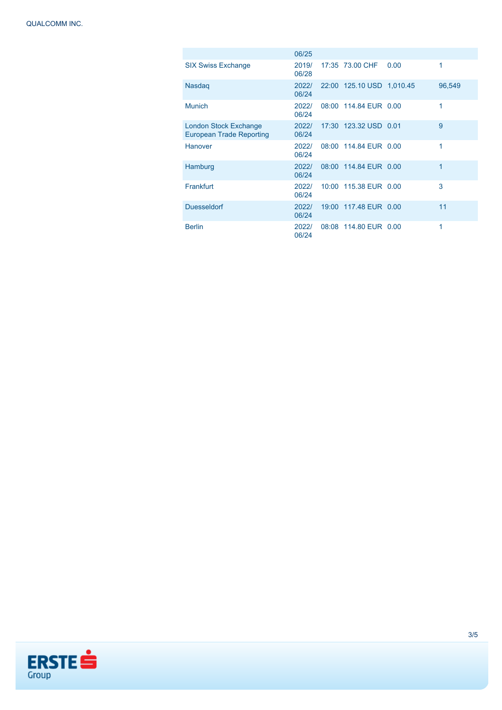|                                                          | 06/25          |                           |      |        |
|----------------------------------------------------------|----------------|---------------------------|------|--------|
| <b>SIX Swiss Exchange</b>                                | 2019/<br>06/28 | 17:35 73.00 CHF           | 0.00 | 1      |
| <b>Nasdag</b>                                            | 2022/<br>06/24 | 22:00 125.10 USD 1,010.45 |      | 96,549 |
| <b>Munich</b>                                            | 2022/<br>06/24 | 08:00 114.84 EUR 0.00     |      | 1      |
| London Stock Exchange<br><b>European Trade Reporting</b> | 2022/<br>06/24 | 17:30 123.32 USD 0.01     |      | 9      |
| Hanover                                                  | 2022/<br>06/24 | 08:00 114.84 EUR 0.00     |      | 1      |
| Hamburg                                                  | 2022/<br>06/24 | 08:00 114.84 EUR 0.00     |      | 1      |
| Frankfurt                                                | 2022/<br>06/24 | 10:00 115.38 EUR 0.00     |      | 3      |
| <b>Duesseldorf</b>                                       | 2022/<br>06/24 | 19:00 117.48 EUR 0.00     |      | 11     |
| <b>Berlin</b>                                            | 2022/<br>06/24 | 08:08 114.80 EUR 0.00     |      | 1      |

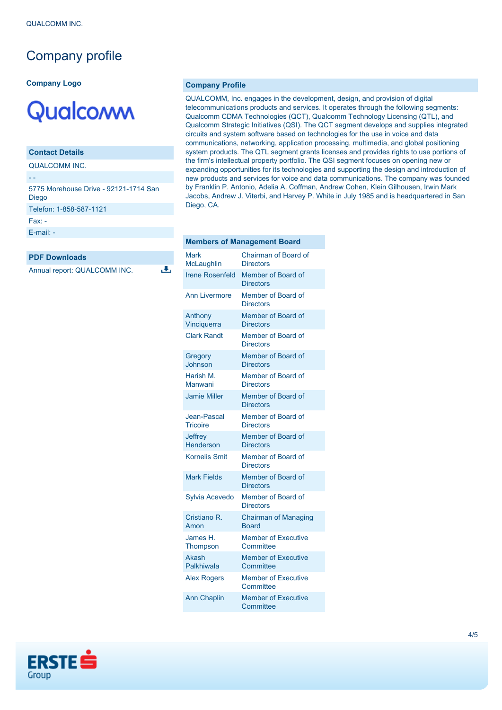# Company profile

#### **Company Logo**

# Qualcoww

### **Contact Details**

QUALCOMM INC.

### - -

5775 Morehouse Drive - 92121-1714 San Diego Telefon: 1-858-587-1121 Fax: - [E-mail: -](mailto:-)

رنال

#### **PDF Downloads**

Annual report: QUALCOMM INC.

#### **Company Profile**

QUALCOMM, Inc. engages in the development, design, and provision of digital telecommunications products and services. It operates through the following segments: Qualcomm CDMA Technologies (QCT), Qualcomm Technology Licensing (QTL), and Qualcomm Strategic Initiatives (QSI). The QCT segment develops and supplies integrated circuits and system software based on technologies for the use in voice and data communications, networking, application processing, multimedia, and global positioning system products. The QTL segment grants licenses and provides rights to use portions of the firm's intellectual property portfolio. The QSI segment focuses on opening new or expanding opportunities for its technologies and supporting the design and introduction of new products and services for voice and data communications. The company was founded by Franklin P. Antonio, Adelia A. Coffman, Andrew Cohen, Klein Gilhousen, Irwin Mark Jacobs, Andrew J. Viterbi, and Harvey P. White in July 1985 and is headquartered in San Diego, CA.

|                                | Melliners of Management Doard               |
|--------------------------------|---------------------------------------------|
| Mark<br>McLaughlin             | Chairman of Board of<br><b>Directors</b>    |
| <b>Irene Rosenfeld</b>         | Member of Board of<br><b>Directors</b>      |
| <b>Ann Livermore</b>           | Member of Board of<br><b>Directors</b>      |
| Anthony<br>Vinciquerra         | Member of Board of<br><b>Directors</b>      |
| <b>Clark Randt</b>             | Member of Board of<br><b>Directors</b>      |
| Gregory<br>Johnson             | Member of Board of<br><b>Directors</b>      |
| Harish M.<br>Manwani           | Member of Board of<br><b>Directors</b>      |
| <b>Jamie Miller</b>            | Member of Board of<br><b>Directors</b>      |
| Jean-Pascal<br><b>Tricoire</b> | Member of Board of<br><b>Directors</b>      |
| Jeffrey<br><b>Henderson</b>    | Member of Board of<br><b>Directors</b>      |
| <b>Kornelis Smit</b>           | Member of Board of<br><b>Directors</b>      |
| <b>Mark Fields</b>             | Member of Board of<br><b>Directors</b>      |
| Sylvia Acevedo                 | Member of Board of<br><b>Directors</b>      |
| Cristiano R.<br>Amon           | <b>Chairman of Managing</b><br><b>Board</b> |
| James H.<br><b>Thompson</b>    | <b>Member of Executive</b><br>Committee     |
| Akash<br>Palkhiwala            | <b>Member of Executive</b><br>Committee     |
| <b>Alex Rogers</b>             | <b>Member of Executive</b><br>Committee     |
| <b>Ann Chaplin</b>             | <b>Member of Executive</b><br>Committee     |

**Members of Management Board**

# **ERSTE** Group